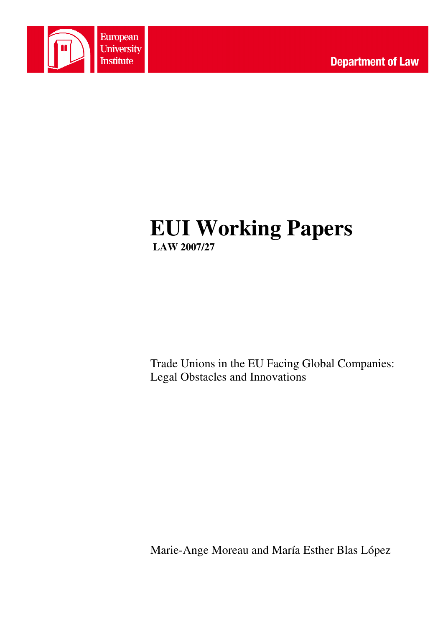

# **EUI Working Papers LAW 2007/27**

Trade Unions in the EU Facing Global Companies: Legal Obstacles and Innovations

Marie-Ange Moreau and María Esther Blas López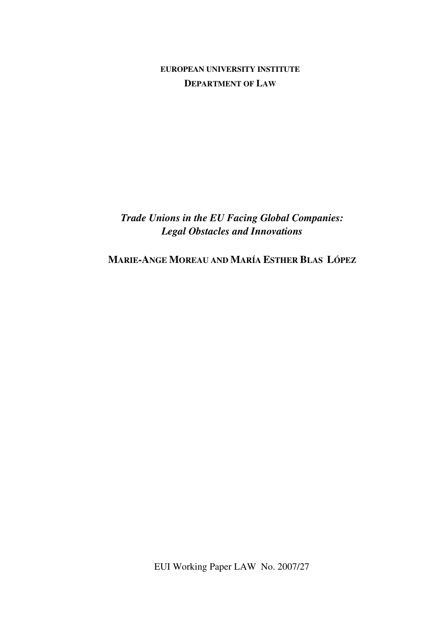**EUROPEAN UNIVERSITY INSTITUTE DEPARTMENT OF LAW**

*Trade Unions in the EU Facing Global Companies: Legal Obstacles and Innovations* 

**MARIE-ANGE MOREAU AND MARÍA ESTHER BLAS LÓPEZ** 

EUI Working Paper LAW No. 2007/27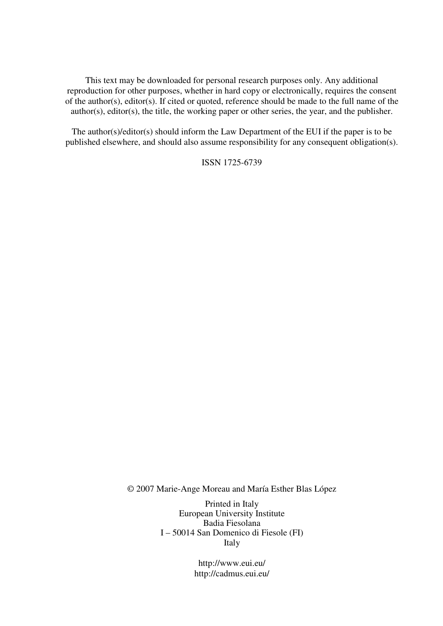This text may be downloaded for personal research purposes only. Any additional reproduction for other purposes, whether in hard copy or electronically, requires the consent of the author(s), editor(s). If cited or quoted, reference should be made to the full name of the author(s), editor(s), the title, the working paper or other series, the year, and the publisher.

The author(s)/editor(s) should inform the Law Department of the EUI if the paper is to be published elsewhere, and should also assume responsibility for any consequent obligation(s).

ISSN 1725-6739

© 2007 Marie-Ange Moreau and María Esther Blas López

Printed in Italy European University Institute Badia Fiesolana I – 50014 San Domenico di Fiesole (FI) Italy

> http://www.eui.eu/ http://cadmus.eui.eu/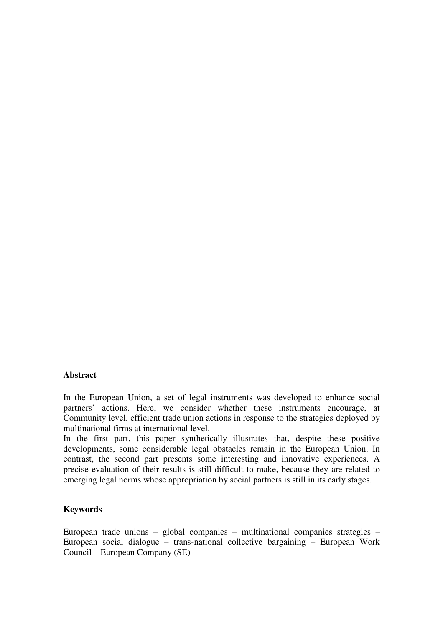#### **Abstract**

In the European Union, a set of legal instruments was developed to enhance social partners' actions. Here, we consider whether these instruments encourage, at Community level, efficient trade union actions in response to the strategies deployed by multinational firms at international level.

In the first part, this paper synthetically illustrates that, despite these positive developments, some considerable legal obstacles remain in the European Union. In contrast, the second part presents some interesting and innovative experiences. A precise evaluation of their results is still difficult to make, because they are related to emerging legal norms whose appropriation by social partners is still in its early stages.

#### **Keywords**

European trade unions – global companies – multinational companies strategies – European social dialogue – trans-national collective bargaining – European Work Council – European Company (SE)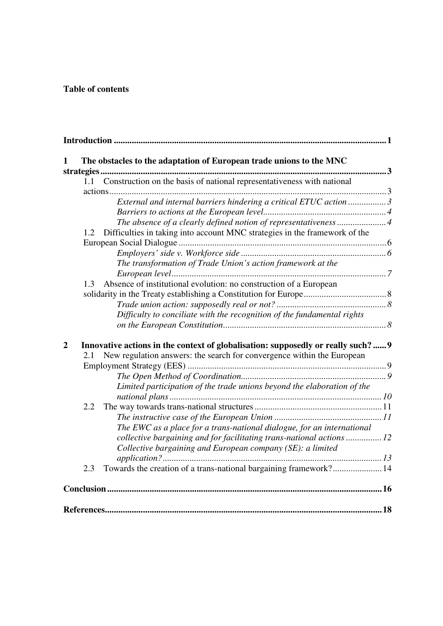# **Table of contents**

|     | Construction on the basis of national representativeness with national                                                                                    |  |
|-----|-----------------------------------------------------------------------------------------------------------------------------------------------------------|--|
|     |                                                                                                                                                           |  |
|     | External and internal barriers hindering a critical ETUC action 3                                                                                         |  |
|     |                                                                                                                                                           |  |
|     | The absence of a clearly defined notion of representativeness4                                                                                            |  |
| 1.2 | Difficulties in taking into account MNC strategies in the framework of the                                                                                |  |
|     |                                                                                                                                                           |  |
|     |                                                                                                                                                           |  |
|     | The transformation of Trade Union's action framework at the                                                                                               |  |
|     |                                                                                                                                                           |  |
| 1.3 | Absence of institutional evolution: no construction of a European                                                                                         |  |
|     |                                                                                                                                                           |  |
|     |                                                                                                                                                           |  |
|     | Difficulty to conciliate with the recognition of the fundamental rights                                                                                   |  |
| 2.1 | Innovative actions in the context of globalisation: supposedly or really such?9<br>New regulation answers: the search for convergence within the European |  |
|     |                                                                                                                                                           |  |
|     |                                                                                                                                                           |  |
|     | Limited participation of the trade unions beyond the elaboration of the                                                                                   |  |
|     |                                                                                                                                                           |  |
|     |                                                                                                                                                           |  |
| 2.2 |                                                                                                                                                           |  |
|     |                                                                                                                                                           |  |
|     | The EWC as a place for a trans-national dialogue, for an international                                                                                    |  |
|     | collective bargaining and for facilitating trans-national actions  12<br>Collective bargaining and European company (SE): a limited                       |  |
|     |                                                                                                                                                           |  |
| 2.3 | Towards the creation of a trans-national bargaining framework? 14                                                                                         |  |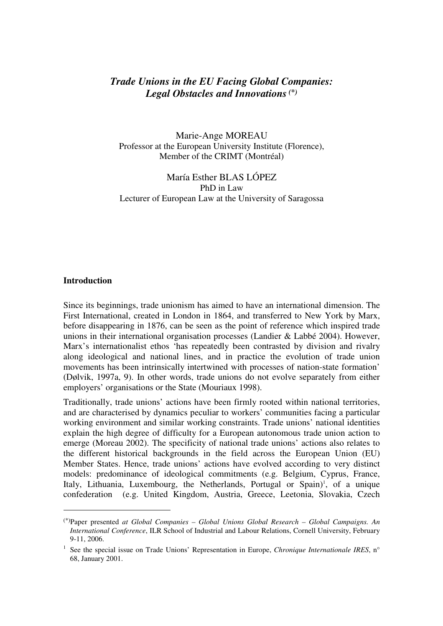# *Trade Unions in the EU Facing Global Companies: Legal Obstacles and Innovations(\*)*

Marie-Ange MOREAU Professor at the European University Institute (Florence), Member of the CRIMT (Montréal)

María Esther BLAS LÓPEZ PhD in Law Lecturer of European Law at the University of Saragossa

#### **Introduction**

 $\overline{a}$ 

Since its beginnings, trade unionism has aimed to have an international dimension. The First International, created in London in 1864, and transferred to New York by Marx, before disappearing in 1876, can be seen as the point of reference which inspired trade unions in their international organisation processes (Landier & Labbé 2004). However, Marx's internationalist ethos 'has repeatedly been contrasted by division and rivalry along ideological and national lines, and in practice the evolution of trade union movements has been intrinsically intertwined with processes of nation-state formation' (Dølvik, 1997a, 9). In other words, trade unions do not evolve separately from either employers' organisations or the State (Mouriaux 1998).

Traditionally, trade unions' actions have been firmly rooted within national territories, and are characterised by dynamics peculiar to workers' communities facing a particular working environment and similar working constraints. Trade unions' national identities explain the high degree of difficulty for a European autonomous trade union action to emerge (Moreau 2002). The specificity of national trade unions' actions also relates to the different historical backgrounds in the field across the European Union (EU) Member States. Hence, trade unions' actions have evolved according to very distinct models: predominance of ideological commitments (e.g. Belgium, Cyprus, France, Italy, Lithuania, Luxembourg, the Netherlands, Portugal or Spain)<sup>1</sup>, of a unique confederation (e.g. United Kingdom, Austria, Greece, Leetonia, Slovakia, Czech

<sup>(\*)</sup>Paper presented *at Global Companies – Global Unions Global Research – Global Campaigns. An International Conference*, ILR School of Industrial and Labour Relations, Cornell University, February 9-11, 2006.

<sup>1</sup> See the special issue on Trade Unions' Representation in Europe, *Chronique Internationale IRES*, n° 68, January 2001.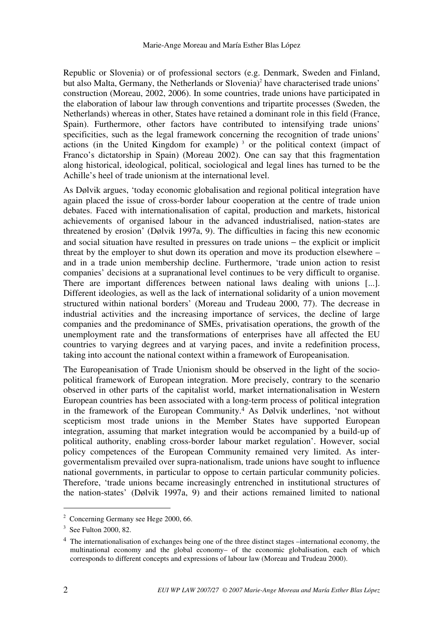Republic or Slovenia) or of professional sectors (e.g. Denmark, Sweden and Finland, but also Malta, Germany, the Netherlands or Slovenia)<sup>2</sup> have characterised trade unions' construction (Moreau, 2002, 2006). In some countries, trade unions have participated in the elaboration of labour law through conventions and tripartite processes (Sweden, the Netherlands) whereas in other, States have retained a dominant role in this field (France, Spain). Furthermore, other factors have contributed to intensifying trade unions' specificities, such as the legal framework concerning the recognition of trade unions' actions (in the United Kingdom for example)<sup>3</sup> or the political context (impact of Franco's dictatorship in Spain) (Moreau 2002). One can say that this fragmentation along historical, ideological, political, sociological and legal lines has turned to be the Achille's heel of trade unionism at the international level.

As Dølvik argues, 'today economic globalisation and regional political integration have again placed the issue of cross-border labour cooperation at the centre of trade union debates. Faced with internationalisation of capital, production and markets, historical achievements of organised labour in the advanced industrialised, nation-states are threatened by erosion' (Dølvik 1997a, 9). The difficulties in facing this new economic and social situation have resulted in pressures on trade unions − the explicit or implicit threat by the employer to shut down its operation and move its production elsewhere – and in a trade union membership decline. Furthermore, 'trade union action to resist companies' decisions at a supranational level continues to be very difficult to organise. There are important differences between national laws dealing with unions [...]. Different ideologies, as well as the lack of international solidarity of a union movement structured within national borders' (Moreau and Trudeau 2000, 77). The decrease in industrial activities and the increasing importance of services, the decline of large companies and the predominance of SMEs, privatisation operations, the growth of the unemployment rate and the transformations of enterprises have all affected the EU countries to varying degrees and at varying paces, and invite a redefinition process, taking into account the national context within a framework of Europeanisation.

The Europeanisation of Trade Unionism should be observed in the light of the sociopolitical framework of European integration. More precisely, contrary to the scenario observed in other parts of the capitalist world, market internationalisation in Western European countries has been associated with a long-term process of political integration in the framework of the European Community.4 As Dølvik underlines, 'not without scepticism most trade unions in the Member States have supported European integration, assuming that market integration would be accompanied by a build-up of political authority, enabling cross-border labour market regulation'. However, social policy competences of the European Community remained very limited. As intergovermentalism prevailed over supra-nationalism, trade unions have sought to influence national governments, in particular to oppose to certain particular community policies. Therefore, 'trade unions became increasingly entrenched in institutional structures of the nation-states' (Dølvik 1997a, 9) and their actions remained limited to national

<sup>&</sup>lt;sup>2</sup> Concerning Germany see Hege 2000, 66.

<sup>3</sup> See Fulton 2000, 82.

<sup>4</sup> The internationalisation of exchanges being one of the three distinct stages –international economy, the multinational economy and the global economy– of the economic globalisation, each of which corresponds to different concepts and expressions of labour law (Moreau and Trudeau 2000).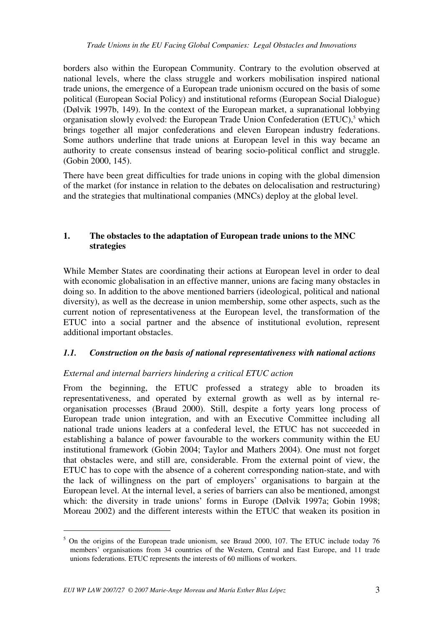borders also within the European Community. Contrary to the evolution observed at national levels, where the class struggle and workers mobilisation inspired national trade unions, the emergence of a European trade unionism occured on the basis of some political (European Social Policy) and institutional reforms (European Social Dialogue) (Dølvik 1997b, 149). In the context of the European market, a supranational lobbying organisation slowly evolved: the European Trade Union Confederation (ETUC),<sup>5</sup> which brings together all major confederations and eleven European industry federations. Some authors underline that trade unions at European level in this way became an authority to create consensus instead of bearing socio-political conflict and struggle. (Gobin 2000, 145).

There have been great difficulties for trade unions in coping with the global dimension of the market (for instance in relation to the debates on delocalisation and restructuring) and the strategies that multinational companies (MNCs) deploy at the global level.

## **1. The obstacles to the adaptation of European trade unions to the MNC strategies**

While Member States are coordinating their actions at European level in order to deal with economic globalisation in an effective manner, unions are facing many obstacles in doing so. In addition to the above mentioned barriers (ideological, political and national diversity), as well as the decrease in union membership, some other aspects, such as the current notion of representativeness at the European level, the transformation of the ETUC into a social partner and the absence of institutional evolution, represent additional important obstacles.

### *1.1. Construction on the basis of national representativeness with national actions*

## *External and internal barriers hindering a critical ETUC action*

From the beginning, the ETUC professed a strategy able to broaden its representativeness, and operated by external growth as well as by internal reorganisation processes (Braud 2000). Still, despite a forty years long process of European trade union integration, and with an Executive Committee including all national trade unions leaders at a confederal level, the ETUC has not succeeded in establishing a balance of power favourable to the workers community within the EU institutional framework (Gobin 2004; Taylor and Mathers 2004). One must not forget that obstacles were, and still are, considerable. From the external point of view, the ETUC has to cope with the absence of a coherent corresponding nation-state, and with the lack of willingness on the part of employers' organisations to bargain at the European level. At the internal level, a series of barriers can also be mentioned, amongst which: the diversity in trade unions' forms in Europe (Dølvik 1997a; Gobin 1998; Moreau 2002) and the different interests within the ETUC that weaken its position in

<sup>&</sup>lt;sup>5</sup> On the origins of the European trade unionism, see Braud 2000, 107. The ETUC include today 76 members' organisations from 34 countries of the Western, Central and East Europe, and 11 trade unions federations. ETUC represents the interests of 60 millions of workers.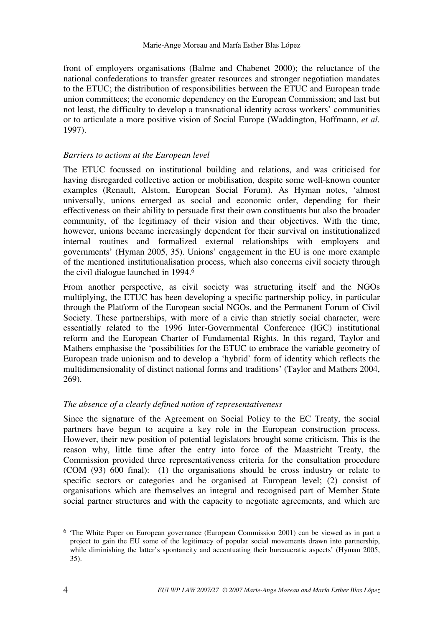front of employers organisations (Balme and Chabenet 2000); the reluctance of the national confederations to transfer greater resources and stronger negotiation mandates to the ETUC; the distribution of responsibilities between the ETUC and European trade union committees; the economic dependency on the European Commission; and last but not least, the difficulty to develop a transnational identity across workers' communities or to articulate a more positive vision of Social Europe (Waddington, Hoffmann, *et al.*  1997).

## *Barriers to actions at the European level*

The ETUC focussed on institutional building and relations, and was criticised for having disregarded collective action or mobilisation, despite some well-known counter examples (Renault, Alstom, European Social Forum). As Hyman notes, 'almost universally, unions emerged as social and economic order, depending for their effectiveness on their ability to persuade first their own constituents but also the broader community, of the legitimacy of their vision and their objectives. With the time, however, unions became increasingly dependent for their survival on institutionalized internal routines and formalized external relationships with employers and governments' (Hyman 2005, 35). Unions' engagement in the EU is one more example of the mentioned institutionalisation process, which also concerns civil society through the civil dialogue launched in 1994.<sup>6</sup>

From another perspective, as civil society was structuring itself and the NGOs multiplying, the ETUC has been developing a specific partnership policy, in particular through the Platform of the European social NGOs, and the Permanent Forum of Civil Society. These partnerships, with more of a civic than strictly social character, were essentially related to the 1996 Inter-Governmental Conference (IGC) institutional reform and the European Charter of Fundamental Rights. In this regard, Taylor and Mathers emphasise the 'possibilities for the ETUC to embrace the variable geometry of European trade unionism and to develop a 'hybrid' form of identity which reflects the multidimensionality of distinct national forms and traditions' (Taylor and Mathers 2004, 269).

### *The absence of a clearly defined notion of representativeness*

Since the signature of the Agreement on Social Policy to the EC Treaty, the social partners have begun to acquire a key role in the European construction process. However, their new position of potential legislators brought some criticism. This is the reason why, little time after the entry into force of the Maastricht Treaty, the Commission provided three representativeness criteria for the consultation procedure (COM (93) 600 final): (1) the organisations should be cross industry or relate to specific sectors or categories and be organised at European level; (2) consist of organisations which are themselves an integral and recognised part of Member State social partner structures and with the capacity to negotiate agreements, and which are

<sup>6</sup> 'The White Paper on European governance (European Commission 2001) can be viewed as in part a project to gain the EU some of the legitimacy of popular social movements drawn into partnership, while diminishing the latter's spontaneity and accentuating their bureaucratic aspects' (Hyman 2005, 35).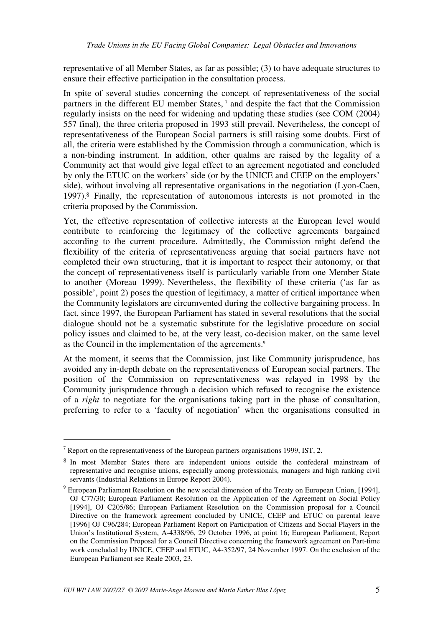representative of all Member States, as far as possible; (3) to have adequate structures to ensure their effective participation in the consultation process.

In spite of several studies concerning the concept of representativeness of the social partners in the different EU member States,<sup>7</sup> and despite the fact that the Commission regularly insists on the need for widening and updating these studies (see COM (2004) 557 final), the three criteria proposed in 1993 still prevail. Nevertheless, the concept of representativeness of the European Social partners is still raising some doubts. First of all, the criteria were established by the Commission through a communication, which is a non-binding instrument. In addition, other qualms are raised by the legality of a Community act that would give legal effect to an agreement negotiated and concluded by only the ETUC on the workers' side (or by the UNICE and CEEP on the employers' side), without involving all representative organisations in the negotiation (Lyon-Caen, 1997).8 Finally, the representation of autonomous interests is not promoted in the criteria proposed by the Commission.

Yet, the effective representation of collective interests at the European level would contribute to reinforcing the legitimacy of the collective agreements bargained according to the current procedure. Admittedly, the Commission might defend the flexibility of the criteria of representativeness arguing that social partners have not completed their own structuring, that it is important to respect their autonomy, or that the concept of representativeness itself is particularly variable from one Member State to another (Moreau 1999). Nevertheless, the flexibility of these criteria ('as far as possible', point 2) poses the question of legitimacy, a matter of critical importance when the Community legislators are circumvented during the collective bargaining process. In fact, since 1997, the European Parliament has stated in several resolutions that the social dialogue should not be a systematic substitute for the legislative procedure on social policy issues and claimed to be, at the very least, co-decision maker, on the same level as the Council in the implementation of the agreements.<sup>9</sup>

At the moment, it seems that the Commission, just like Community jurisprudence, has avoided any in-depth debate on the representativeness of European social partners. The position of the Commission on representativeness was relayed in 1998 by the Community jurisprudence through a decision which refused to recognise the existence of a *right* to negotiate for the organisations taking part in the phase of consultation, preferring to refer to a 'faculty of negotiation' when the organisations consulted in

<sup>&</sup>lt;sup>7</sup> Report on the representativeness of the European partners organisations 1999, IST, 2.

<sup>8</sup> In most Member States there are independent unions outside the confederal mainstream of representative and recognise unions, especially among professionals, managers and high ranking civil servants (Industrial Relations in Europe Report 2004).

<sup>&</sup>lt;sup>9</sup> European Parliament Resolution on the new social dimension of the Treaty on European Union, [1994], OJ C77/30; European Parliament Resolution on the Application of the Agreement on Social Policy [1994], OJ C205/86; European Parliament Resolution on the Commission proposal for a Council Directive on the framework agreement concluded by UNICE, CEEP and ETUC on parental leave [1996] OJ C96/284; European Parliament Report on Participation of Citizens and Social Players in the Union's Institutional System, A-4338/96, 29 October 1996, at point 16; European Parliament, Report on the Commission Proposal for a Council Directive concerning the framework agreement on Part-time work concluded by UNICE, CEEP and ETUC, A4-352/97, 24 November 1997. On the exclusion of the European Parliament see Reale 2003, 23.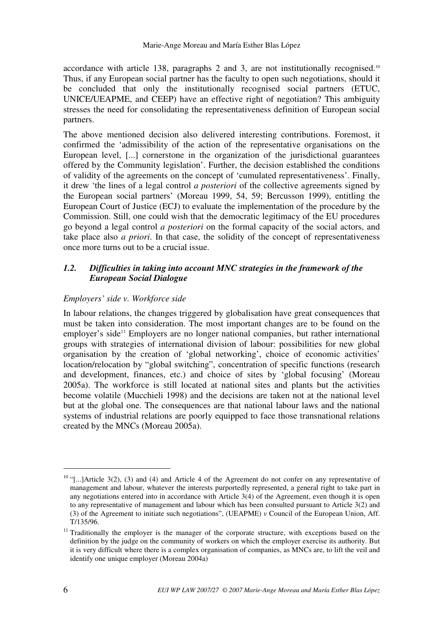accordance with article 138, paragraphs 2 and 3, are not institutionally recognised.<sup>10</sup> Thus, if any European social partner has the faculty to open such negotiations, should it be concluded that only the institutionally recognised social partners (ETUC, UNICE/UEAPME, and CEEP) have an effective right of negotiation? This ambiguity stresses the need for consolidating the representativeness definition of European social partners.

The above mentioned decision also delivered interesting contributions. Foremost, it confirmed the 'admissibility of the action of the representative organisations on the European level, [...] cornerstone in the organization of the jurisdictional guarantees offered by the Community legislation'. Further, the decision established the conditions of validity of the agreements on the concept of 'cumulated representativeness'. Finally, it drew 'the lines of a legal control *a posteriori* of the collective agreements signed by the European social partners' (Moreau 1999, 54, 59; Bercusson 1999), entitling the European Court of Justice (ECJ) to evaluate the implementation of the procedure by the Commission. Still, one could wish that the democratic legitimacy of the EU procedures go beyond a legal control *a posteriori* on the formal capacity of the social actors, and take place also *a priori*. In that case, the solidity of the concept of representativeness once more turns out to be a crucial issue.

# *1.2. Difficulties in taking into account MNC strategies in the framework of the European Social Dialogue*

## *Employers' side v. Workforce side*

In labour relations, the changes triggered by globalisation have great consequences that must be taken into consideration. The most important changes are to be found on the employer's side<sup>11</sup> Employers are no longer national companies, but rather international groups with strategies of international division of labour: possibilities for new global organisation by the creation of 'global networking', choice of economic activities' location/relocation by "global switching", concentration of specific functions (research and development, finances, etc.) and choice of sites by 'global focusing' (Moreau 2005a). The workforce is still located at national sites and plants but the activities become volatile (Mucchieli 1998) and the decisions are taken not at the national level but at the global one. The consequences are that national labour laws and the national systems of industrial relations are poorly equipped to face those transnational relations created by the MNCs (Moreau 2005a).

 $10$  "[...]Article 3(2), (3) and (4) and Article 4 of the Agreement do not confer on any representative of management and labour, whatever the interests purportedly represented, a general right to take part in any negotiations entered into in accordance with Article 3(4) of the Agreement, even though it is open to any representative of management and labour which has been consulted pursuant to Article 3(2) and (3) of the Agreement to initiate such negotiations", (UEAPME) *v* Council of the European Union, Aff. T/135/96.

 $11$  Traditionally the employer is the manager of the corporate structure, with exceptions based on the definition by the judge on the community of workers on which the employer exercise its authority. But it is very difficult where there is a complex organisation of companies, as MNCs are, to lift the veil and identify one unique employer (Moreau 2004a)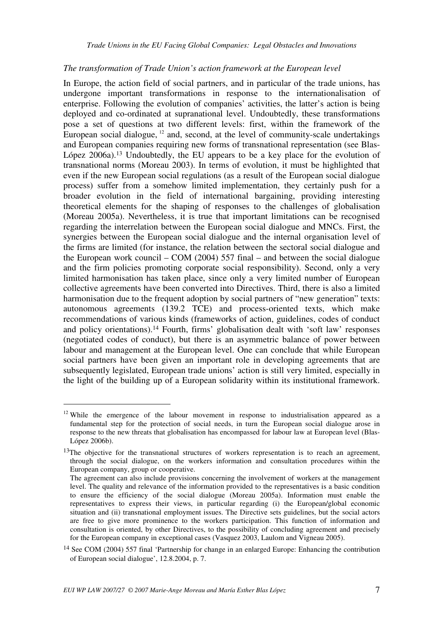#### *The transformation of Trade Union's action framework at the European level*

In Europe, the action field of social partners, and in particular of the trade unions, has undergone important transformations in response to the internationalisation of enterprise. Following the evolution of companies' activities, the latter's action is being deployed and co-ordinated at supranational level. Undoubtedly, these transformations pose a set of questions at two different levels: first, within the framework of the European social dialogue,  $12$  and, second, at the level of community-scale undertakings and European companies requiring new forms of transnational representation (see Blas-López 2006a).<sup>13</sup> Undoubtedly, the EU appears to be a key place for the evolution of transnational norms (Moreau 2003). In terms of evolution, it must be highlighted that even if the new European social regulations (as a result of the European social dialogue process) suffer from a somehow limited implementation, they certainly push for a broader evolution in the field of international bargaining, providing interesting theoretical elements for the shaping of responses to the challenges of globalisation (Moreau 2005a). Nevertheless, it is true that important limitations can be recognised regarding the interrelation between the European social dialogue and MNCs. First, the synergies between the European social dialogue and the internal organisation level of the firms are limited (for instance, the relation between the sectoral social dialogue and the European work council – COM (2004) 557 final – and between the social dialogue and the firm policies promoting corporate social responsibility). Second, only a very limited harmonisation has taken place, since only a very limited number of European collective agreements have been converted into Directives. Third, there is also a limited harmonisation due to the frequent adoption by social partners of "new generation" texts: autonomous agreements (139.2 TCE) and process-oriented texts, which make recommendations of various kinds (frameworks of action, guidelines, codes of conduct and policy orientations).14 Fourth, firms' globalisation dealt with 'soft law' responses (negotiated codes of conduct), but there is an asymmetric balance of power between labour and management at the European level. One can conclude that while European social partners have been given an important role in developing agreements that are subsequently legislated, European trade unions' action is still very limited, especially in the light of the building up of a European solidarity within its institutional framework.

 $12$  While the emergence of the labour movement in response to industrialisation appeared as a fundamental step for the protection of social needs, in turn the European social dialogue arose in response to the new threats that globalisation has encompassed for labour law at European level (Blas-López 2006b).

 $13$ The objective for the transnational structures of workers representation is to reach an agreement, through the social dialogue, on the workers information and consultation procedures within the European company, group or cooperative.

The agreement can also include provisions concerning the involvement of workers at the management level. The quality and relevance of the information provided to the representatives is a basic condition to ensure the efficiency of the social dialogue (Moreau 2005a). Information must enable the representatives to express their views, in particular regarding (i) the European/global economic situation and (ii) transnational employment issues. The Directive sets guidelines, but the social actors are free to give more prominence to the workers participation. This function of information and consultation is oriented, by other Directives, to the possibility of concluding agreement and precisely for the European company in exceptional cases (Vasquez 2003, Laulom and Vigneau 2005).

<sup>14</sup> See COM (2004) 557 final 'Partnership for change in an enlarged Europe: Enhancing the contribution of European social dialogue', 12.8.2004, p. 7.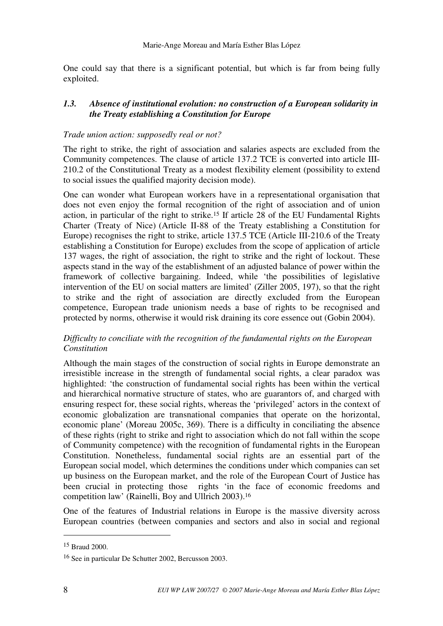One could say that there is a significant potential, but which is far from being fully exploited.

## *1.3. Absence of institutional evolution: no construction of a European solidarity in the Treaty establishing a Constitution for Europe*

### *Trade union action: supposedly real or not?*

The right to strike, the right of association and salaries aspects are excluded from the Community competences. The clause of article 137.2 TCE is converted into article III-210.2 of the Constitutional Treaty as a modest flexibility element (possibility to extend to social issues the qualified majority decision mode).

One can wonder what European workers have in a representational organisation that does not even enjoy the formal recognition of the right of association and of union action, in particular of the right to strike.15 If article 28 of the EU Fundamental Rights Charter (Treaty of Nice) (Article II-88 of the Treaty establishing a Constitution for Europe) recognises the right to strike, article 137.5 TCE (Article III-210.6 of the Treaty establishing a Constitution for Europe) excludes from the scope of application of article 137 wages, the right of association, the right to strike and the right of lockout. These aspects stand in the way of the establishment of an adjusted balance of power within the framework of collective bargaining. Indeed, while 'the possibilities of legislative intervention of the EU on social matters are limited' (Ziller 2005, 197), so that the right to strike and the right of association are directly excluded from the European competence, European trade unionism needs a base of rights to be recognised and protected by norms, otherwise it would risk draining its core essence out (Gobin 2004).

## *Difficulty to conciliate with the recognition of the fundamental rights on the European Constitution*

Although the main stages of the construction of social rights in Europe demonstrate an irresistible increase in the strength of fundamental social rights, a clear paradox was highlighted: 'the construction of fundamental social rights has been within the vertical and hierarchical normative structure of states, who are guarantors of, and charged with ensuring respect for, these social rights, whereas the 'privileged' actors in the context of economic globalization are transnational companies that operate on the horizontal, economic plane' (Moreau 2005c, 369). There is a difficulty in conciliating the absence of these rights (right to strike and right to association which do not fall within the scope of Community competence) with the recognition of fundamental rights in the European Constitution. Nonetheless, fundamental social rights are an essential part of the European social model, which determines the conditions under which companies can set up business on the European market, and the role of the European Court of Justice has been crucial in protecting those rights 'in the face of economic freedoms and competition law' (Rainelli, Boy and Ullrich 2003).<sup>16</sup>

One of the features of Industrial relations in Europe is the massive diversity across European countries (between companies and sectors and also in social and regional

<sup>15</sup> Braud 2000.

<sup>16</sup> See in particular De Schutter 2002, Bercusson 2003.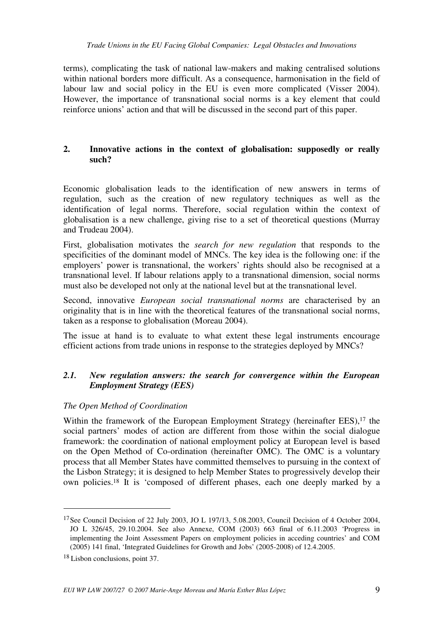terms), complicating the task of national law-makers and making centralised solutions within national borders more difficult. As a consequence, harmonisation in the field of labour law and social policy in the EU is even more complicated (Visser 2004). However, the importance of transnational social norms is a key element that could reinforce unions' action and that will be discussed in the second part of this paper.

## **2. Innovative actions in the context of globalisation: supposedly or really such?**

Economic globalisation leads to the identification of new answers in terms of regulation, such as the creation of new regulatory techniques as well as the identification of legal norms. Therefore, social regulation within the context of globalisation is a new challenge, giving rise to a set of theoretical questions (Murray and Trudeau 2004).

First, globalisation motivates the *search for new regulation* that responds to the specificities of the dominant model of MNCs. The key idea is the following one: if the employers' power is transnational, the workers' rights should also be recognised at a transnational level. If labour relations apply to a transnational dimension, social norms must also be developed not only at the national level but at the transnational level.

Second, innovative *European social transnational norms* are characterised by an originality that is in line with the theoretical features of the transnational social norms, taken as a response to globalisation (Moreau 2004).

The issue at hand is to evaluate to what extent these legal instruments encourage efficient actions from trade unions in response to the strategies deployed by MNCs?

# *2.1. New regulation answers: the search for convergence within the European Employment Strategy (EES)*

## *The Open Method of Coordination*

Within the framework of the European Employment Strategy (hereinafter EES),<sup>17</sup> the social partners' modes of action are different from those within the social dialogue framework: the coordination of national employment policy at European level is based on the Open Method of Co-ordination (hereinafter OMC). The OMC is a voluntary process that all Member States have committed themselves to pursuing in the context of the Lisbon Strategy; it is designed to help Member States to progressively develop their own policies.18 It is 'composed of different phases, each one deeply marked by a

<sup>&</sup>lt;sup>17</sup> See Council Decision of 22 July 2003, JO L 197/13, 5.08.2003, Council Decision of 4 October 2004, JO L 326/45, 29.10.2004. See also Annexe, COM (2003) 663 final of 6.11.2003 'Progress in implementing the Joint Assessment Papers on employment policies in acceding countries' and COM (2005) 141 final, 'Integrated Guidelines for Growth and Jobs' (2005-2008) of 12.4.2005.

<sup>18</sup> Lisbon conclusions, point 37.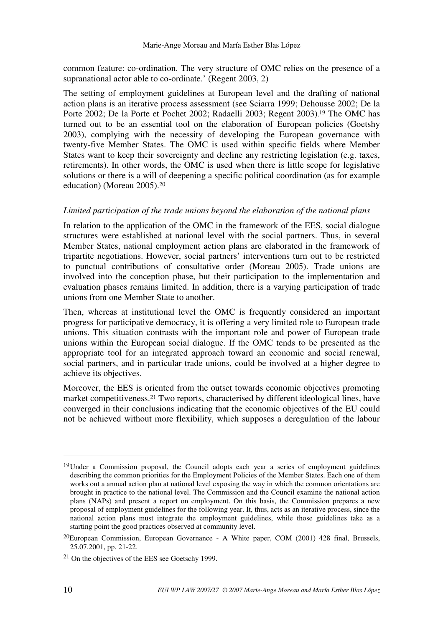common feature: co-ordination. The very structure of OMC relies on the presence of a supranational actor able to co-ordinate.' (Regent 2003, 2)

The setting of employment guidelines at European level and the drafting of national action plans is an iterative process assessment (see Sciarra 1999; Dehousse 2002; De la Porte 2002; De la Porte et Pochet 2002; Radaelli 2003; Regent 2003).<sup>19</sup> The OMC has turned out to be an essential tool on the elaboration of European policies (Goetshy 2003), complying with the necessity of developing the European governance with twenty-five Member States. The OMC is used within specific fields where Member States want to keep their sovereignty and decline any restricting legislation (e.g. taxes, retirements). In other words, the OMC is used when there is little scope for legislative solutions or there is a will of deepening a specific political coordination (as for example education) (Moreau 2005).<sup>20</sup>

#### *Limited participation of the trade unions beyond the elaboration of the national plans*

In relation to the application of the OMC in the framework of the EES, social dialogue structures were established at national level with the social partners. Thus, in several Member States, national employment action plans are elaborated in the framework of tripartite negotiations. However, social partners' interventions turn out to be restricted to punctual contributions of consultative order (Moreau 2005). Trade unions are involved into the conception phase, but their participation to the implementation and evaluation phases remains limited. In addition, there is a varying participation of trade unions from one Member State to another.

Then, whereas at institutional level the OMC is frequently considered an important progress for participative democracy, it is offering a very limited role to European trade unions. This situation contrasts with the important role and power of European trade unions within the European social dialogue. If the OMC tends to be presented as the appropriate tool for an integrated approach toward an economic and social renewal, social partners, and in particular trade unions, could be involved at a higher degree to achieve its objectives.

Moreover, the EES is oriented from the outset towards economic objectives promoting market competitiveness.21 Two reports, characterised by different ideological lines, have converged in their conclusions indicating that the economic objectives of the EU could not be achieved without more flexibility, which supposes a deregulation of the labour

<sup>&</sup>lt;sup>19</sup> Under a Commission proposal, the Council adopts each year a series of employment guidelines describing the common priorities for the Employment Policies of the Member States. Each one of them works out a annual action plan at national level exposing the way in which the common orientations are brought in practice to the national level. The Commission and the Council examine the national action plans (NAPs) and present a report on employment. On this basis, the Commission prepares a new proposal of employment guidelines for the following year. It, thus, acts as an iterative process, since the national action plans must integrate the employment guidelines, while those guidelines take as a starting point the good practices observed at community level.

<sup>20</sup>European Commission, European Governance - A White paper, COM (2001) 428 final, Brussels, 25.07.2001, pp. 21-22.

<sup>21</sup> On the objectives of the EES see Goetschy 1999.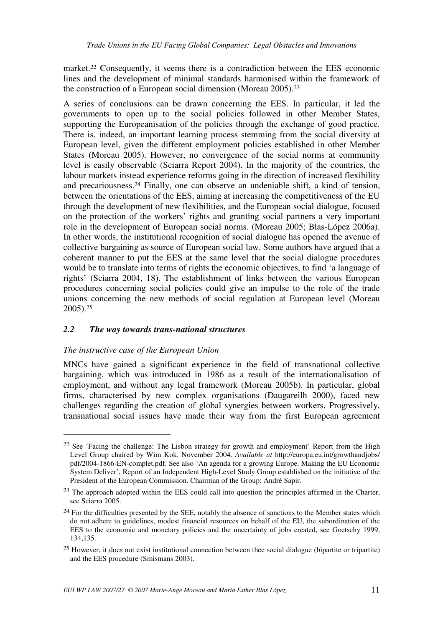market.22 Consequently, it seems there is a contradiction between the EES economic lines and the development of minimal standards harmonised within the framework of the construction of a European social dimension (Moreau 2005).<sup>23</sup>

A series of conclusions can be drawn concerning the EES. In particular, it led the governments to open up to the social policies followed in other Member States, supporting the Europeanisation of the policies through the exchange of good practice. There is, indeed, an important learning process stemming from the social diversity at European level, given the different employment policies established in other Member States (Moreau 2005). However, no convergence of the social norms at community level is easily observable (Sciarra Report 2004). In the majority of the countries, the labour markets instead experience reforms going in the direction of increased flexibility and precariousness.24 Finally, one can observe an undeniable shift, a kind of tension, between the orientations of the EES, aiming at increasing the competitiveness of the EU through the development of new flexibilities, and the European social dialogue, focused on the protection of the workers' rights and granting social partners a very important role in the development of European social norms. (Moreau 2005; Blas-López 2006a). In other words, the institutional recognition of social dialogue has opened the avenue of collective bargaining as source of European social law. Some authors have argued that a coherent manner to put the EES at the same level that the social dialogue procedures would be to translate into terms of rights the economic objectives, to find 'a language of rights' (Sciarra 2004, 18). The establishment of links between the various European procedures concerning social policies could give an impulse to the role of the trade unions concerning the new methods of social regulation at European level (Moreau 2005).<sup>25</sup>

## *2.2 The way towards trans-national structures*

### *The instructive case of the European Union*

 $\overline{a}$ 

MNCs have gained a significant experience in the field of transnational collective bargaining, which was introduced in 1986 as a result of the internationalisation of employment, and without any legal framework (Moreau 2005b). In particular, global firms, characterised by new complex organisations (Daugareilh 2000), faced new challenges regarding the creation of global synergies between workers. Progressively, transnational social issues have made their way from the first European agreement

 $22$  See 'Facing the challenge: The Lisbon strategy for growth and employment' Report from the High Level Group chaired by Wim Kok. November 2004. *Available at* http://europa.eu.int/growthandjobs/ pdf/2004-1866-EN-complet.pdf. See also 'An agenda for a growing Europe. Making the EU Economic System Deliver', Report of an Independent High-Level Study Group established on the initiative of the President of the European Commission. Chairman of the Group: André Sapir.

<sup>&</sup>lt;sup>23</sup> The approach adopted within the EES could call into question the principles affirmed in the Charter, see Sciarra 2005.

 $24$  For the difficulties presented by the SEE, notably the absence of sanctions to the Member states which do not adhere to guidelines, modest financial resources on behalf of the EU, the subordination of the EES to the economic and monetary policies and the uncertainty of jobs created, see Goetschy 1999, 134,135.

<sup>&</sup>lt;sup>25</sup> However, it does not exist institutional connection between thee social dialogue (bipartite or tripartite) and the EES procedure (Smismans 2003).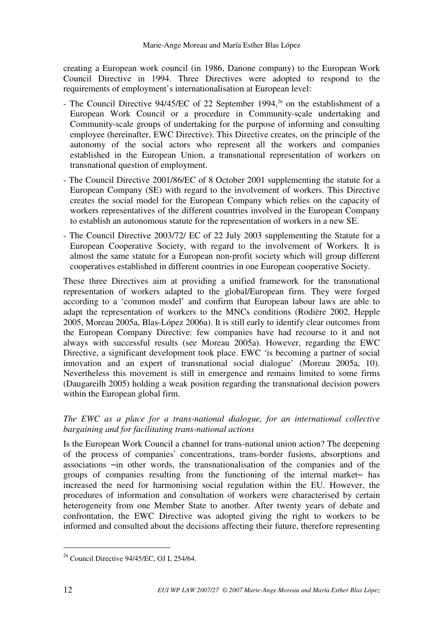creating a European work council (in 1986, Danone company) to the European Work Council Directive in 1994. Three Directives were adopted to respond to the requirements of employment's internationalisation at European level:

- The Council Directive  $94/45/EC$  of 22 September 1994,<sup>26</sup> on the establishment of a European Work Council or a procedure in Community-scale undertaking and Community-scale groups of undertaking for the purpose of informing and consulting employee (hereinafter, EWC Directive). This Directive creates, on the principle of the autonomy of the social actors who represent all the workers and companies established in the European Union, a transnational representation of workers on transnational question of employment.
- The Council Directive 2001/86/EC of 8 October 2001 supplementing the statute for a European Company (SE) with regard to the involvement of workers. This Directive creates the social model for the European Company which relies on the capacity of workers representatives of the different countries involved in the European Company to establish an autonomous statute for the representation of workers in a new SE.
- The Council Directive 2003/72/ EC of 22 July 2003 supplementing the Statute for a European Cooperative Society, with regard to the involvement of Workers. It is almost the same statute for a European non-profit society which will group different cooperatives established in different countries in one European cooperative Society.

These three Directives aim at providing a unified framework for the transnational representation of workers adapted to the global/European firm. They were forged according to a 'common model' and confirm that European labour laws are able to adapt the representation of workers to the MNCs conditions (Rodière 2002, Hepple 2005, Moreau 2005a, Blas-López 2006a). It is still early to identify clear outcomes from the European Company Directive: few companies have had recourse to it and not always with successful results (see Moreau 2005a). However, regarding the EWC Directive, a significant development took place. EWC 'is becoming a partner of social innovation and an expert of transnational social dialogue' (Moreau 2005a, 10). Nevertheless this movement is still in emergence and remains limited to some firms (Daugareilh 2005) holding a weak position regarding the transnational decision powers within the European global firm.

## *The EWC as a place for a trans-national dialogue, for an international collective bargaining and for facilitating trans-national actions*

Is the European Work Council a channel for trans-national union action? The deepening of the process of companies' concentrations, trans-border fusions, absorptions and associations –in other words, the transnationalisation of the companies and of the groups of companies resulting from the functioning of the internal market– has increased the need for harmonising social regulation within the EU. However, the procedures of information and consultation of workers were characterised by certain heterogeneity from one Member State to another. After twenty years of debate and confrontation, the EWC Directive was adopted giving the right to workers to be informed and consulted about the decisions affecting their future, therefore representing

<sup>26</sup> Council Directive 94/45/EC, OJ L 254/64.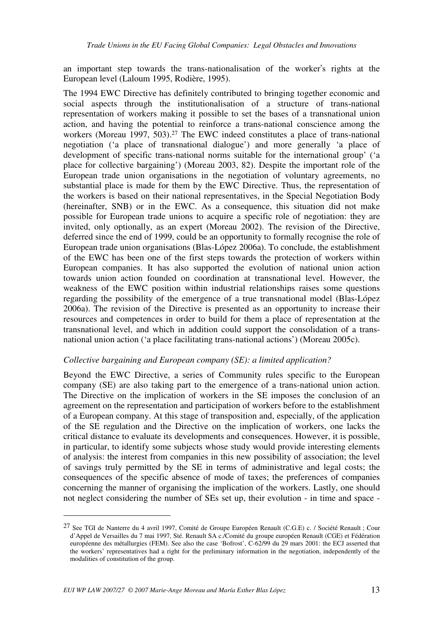an important step towards the trans-nationalisation of the worker's rights at the European level (Laloum 1995, Rodière, 1995).

The 1994 EWC Directive has definitely contributed to bringing together economic and social aspects through the institutionalisation of a structure of trans-national representation of workers making it possible to set the bases of a transnational union action, and having the potential to reinforce a trans-national conscience among the workers (Moreau 1997, 503).<sup>27</sup> The EWC indeed constitutes a place of trans-national negotiation ('a place of transnational dialogue') and more generally 'a place of development of specific trans-national norms suitable for the international group' ('a place for collective bargaining') (Moreau 2003, 82). Despite the important role of the European trade union organisations in the negotiation of voluntary agreements, no substantial place is made for them by the EWC Directive. Thus, the representation of the workers is based on their national representatives, in the Special Negotiation Body (hereinafter, SNB) or in the EWC. As a consequence, this situation did not make possible for European trade unions to acquire a specific role of negotiation: they are invited, only optionally, as an expert (Moreau 2002). The revision of the Directive, deferred since the end of 1999, could be an opportunity to formally recognise the role of European trade union organisations (Blas-López 2006a). To conclude, the establishment of the EWC has been one of the first steps towards the protection of workers within European companies. It has also supported the evolution of national union action towards union action founded on coordination at transnational level. However, the weakness of the EWC position within industrial relationships raises some questions regarding the possibility of the emergence of a true transnational model (Blas-López 2006a). The revision of the Directive is presented as an opportunity to increase their resources and competences in order to build for them a place of representation at the transnational level, and which in addition could support the consolidation of a transnational union action ('a place facilitating trans-national actions') (Moreau 2005c).

#### *Collective bargaining and European company (SE): a limited application?*

Beyond the EWC Directive, a series of Community rules specific to the European company (SE) are also taking part to the emergence of a trans-national union action. The Directive on the implication of workers in the SE imposes the conclusion of an agreement on the representation and participation of workers before to the establishment of a European company. At this stage of transposition and, especially, of the application of the SE regulation and the Directive on the implication of workers, one lacks the critical distance to evaluate its developments and consequences. However, it is possible, in particular, to identify some subjects whose study would provide interesting elements of analysis: the interest from companies in this new possibility of association; the level of savings truly permitted by the SE in terms of administrative and legal costs; the consequences of the specific absence of mode of taxes; the preferences of companies concerning the manner of organising the implication of the workers. Lastly, one should not neglect considering the number of SEs set up, their evolution - in time and space -

<sup>27</sup> See TGI de Nanterre du 4 avril 1997, Comité de Groupe Européen Renault (C.G.E) c. / Société Renault ; Cour d'Appel de Versailles du 7 mai 1997, Sté. Renault SA c./Comité du groupe européen Renault (CGE) et Fédération européenne des métallurgies (FEM). See also the case 'Bofrost', C-62/99 du 29 mars 2001: the ECJ asserted that the workers' representatives had a right for the preliminary information in the negotiation, independently of the modalities of constitution of the group.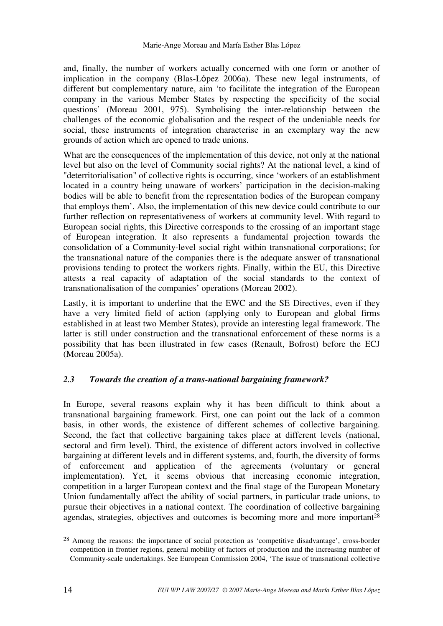and, finally, the number of workers actually concerned with one form or another of implication in the company (Blas-López 2006a). These new legal instruments, of different but complementary nature, aim 'to facilitate the integration of the European company in the various Member States by respecting the specificity of the social questions' (Moreau 2001, 975). Symbolising the inter-relationship between the challenges of the economic globalisation and the respect of the undeniable needs for social, these instruments of integration characterise in an exemplary way the new grounds of action which are opened to trade unions.

What are the consequences of the implementation of this device, not only at the national level but also on the level of Community social rights? At the national level, a kind of "deterritorialisation" of collective rights is occurring, since 'workers of an establishment located in a country being unaware of workers' participation in the decision-making bodies will be able to benefit from the representation bodies of the European company that employs them'. Also, the implementation of this new device could contribute to our further reflection on representativeness of workers at community level. With regard to European social rights, this Directive corresponds to the crossing of an important stage of European integration. It also represents a fundamental projection towards the consolidation of a Community-level social right within transnational corporations; for the transnational nature of the companies there is the adequate answer of transnational provisions tending to protect the workers rights. Finally, within the EU, this Directive attests a real capacity of adaptation of the social standards to the context of transnationalisation of the companies' operations (Moreau 2002).

Lastly, it is important to underline that the EWC and the SE Directives, even if they have a very limited field of action (applying only to European and global firms established in at least two Member States), provide an interesting legal framework. The latter is still under construction and the transnational enforcement of these norms is a possibility that has been illustrated in few cases (Renault, Bofrost) before the ECJ (Moreau 2005a).

## *2.3 Towards the creation of a trans-national bargaining framework?*

In Europe, several reasons explain why it has been difficult to think about a transnational bargaining framework. First, one can point out the lack of a common basis, in other words, the existence of different schemes of collective bargaining. Second, the fact that collective bargaining takes place at different levels (national, sectoral and firm level). Third, the existence of different actors involved in collective bargaining at different levels and in different systems, and, fourth, the diversity of forms of enforcement and application of the agreements (voluntary or general implementation). Yet, it seems obvious that increasing economic integration, competition in a larger European context and the final stage of the European Monetary Union fundamentally affect the ability of social partners, in particular trade unions, to pursue their objectives in a national context. The coordination of collective bargaining agendas, strategies, objectives and outcomes is becoming more and more important<sup>28</sup>

<sup>28</sup> Among the reasons: the importance of social protection as 'competitive disadvantage', cross-border competition in frontier regions, general mobility of factors of production and the increasing number of Community-scale undertakings. See European Commission 2004, 'The issue of transnational collective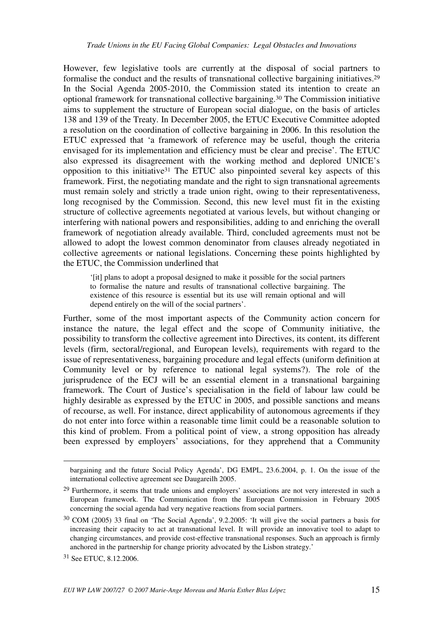However, few legislative tools are currently at the disposal of social partners to formalise the conduct and the results of transnational collective bargaining initiatives.<sup>29</sup> In the Social Agenda 2005-2010, the Commission stated its intention to create an optional framework for transnational collective bargaining.30 The Commission initiative aims to supplement the structure of European social dialogue, on the basis of articles 138 and 139 of the Treaty. In December 2005, the ETUC Executive Committee adopted a resolution on the coordination of collective bargaining in 2006. In this resolution the ETUC expressed that 'a framework of reference may be useful, though the criteria envisaged for its implementation and efficiency must be clear and precise'. The ETUC also expressed its disagreement with the working method and deplored UNICE's opposition to this initiative31 The ETUC also pinpointed several key aspects of this framework. First, the negotiating mandate and the right to sign transnational agreements must remain solely and strictly a trade union right, owing to their representativeness, long recognised by the Commission. Second, this new level must fit in the existing structure of collective agreements negotiated at various levels, but without changing or interfering with national powers and responsibilities, adding to and enriching the overall framework of negotiation already available. Third, concluded agreements must not be allowed to adopt the lowest common denominator from clauses already negotiated in collective agreements or national legislations. Concerning these points highlighted by the ETUC, the Commission underlined that

'[it] plans to adopt a proposal designed to make it possible for the social partners to formalise the nature and results of transnational collective bargaining. The existence of this resource is essential but its use will remain optional and will depend entirely on the will of the social partners'.

Further, some of the most important aspects of the Community action concern for instance the nature, the legal effect and the scope of Community initiative, the possibility to transform the collective agreement into Directives, its content, its different levels (firm, sectoral/regional, and European levels), requirements with regard to the issue of representativeness, bargaining procedure and legal effects (uniform definition at Community level or by reference to national legal systems?). The role of the jurisprudence of the ECJ will be an essential element in a transnational bargaining framework. The Court of Justice's specialisation in the field of labour law could be highly desirable as expressed by the ETUC in 2005, and possible sanctions and means of recourse, as well. For instance, direct applicability of autonomous agreements if they do not enter into force within a reasonable time limit could be a reasonable solution to this kind of problem. From a political point of view, a strong opposition has already been expressed by employers' associations, for they apprehend that a Community

<u>.</u>

bargaining and the future Social Policy Agenda', DG EMPL, 23.6.2004, p. 1. On the issue of the international collective agreement see Daugareilh 2005.

<sup>&</sup>lt;sup>29</sup> Furthermore, it seems that trade unions and employers' associations are not very interested in such a European framework. The Communication from the European Commission in February 2005 concerning the social agenda had very negative reactions from social partners.

<sup>30</sup> COM (2005) 33 final on 'The Social Agenda', 9.2.2005: 'It will give the social partners a basis for increasing their capacity to act at transnational level. It will provide an innovative tool to adapt to changing circumstances, and provide cost-effective transnational responses. Such an approach is firmly anchored in the partnership for change priority advocated by the Lisbon strategy.'

<sup>31</sup> See ETUC, 8.12.2006.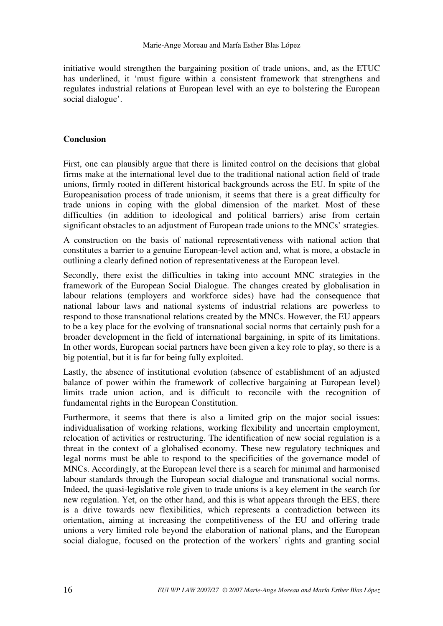initiative would strengthen the bargaining position of trade unions, and, as the ETUC has underlined, it 'must figure within a consistent framework that strengthens and regulates industrial relations at European level with an eye to bolstering the European social dialogue'.

## **Conclusion**

First, one can plausibly argue that there is limited control on the decisions that global firms make at the international level due to the traditional national action field of trade unions, firmly rooted in different historical backgrounds across the EU. In spite of the Europeanisation process of trade unionism, it seems that there is a great difficulty for trade unions in coping with the global dimension of the market. Most of these difficulties (in addition to ideological and political barriers) arise from certain significant obstacles to an adjustment of European trade unions to the MNCs' strategies.

A construction on the basis of national representativeness with national action that constitutes a barrier to a genuine European-level action and, what is more, a obstacle in outlining a clearly defined notion of representativeness at the European level.

Secondly, there exist the difficulties in taking into account MNC strategies in the framework of the European Social Dialogue. The changes created by globalisation in labour relations (employers and workforce sides) have had the consequence that national labour laws and national systems of industrial relations are powerless to respond to those transnational relations created by the MNCs. However, the EU appears to be a key place for the evolving of transnational social norms that certainly push for a broader development in the field of international bargaining, in spite of its limitations. In other words, European social partners have been given a key role to play, so there is a big potential, but it is far for being fully exploited.

Lastly, the absence of institutional evolution (absence of establishment of an adjusted balance of power within the framework of collective bargaining at European level) limits trade union action, and is difficult to reconcile with the recognition of fundamental rights in the European Constitution.

Furthermore, it seems that there is also a limited grip on the major social issues: individualisation of working relations, working flexibility and uncertain employment, relocation of activities or restructuring. The identification of new social regulation is a threat in the context of a globalised economy. These new regulatory techniques and legal norms must be able to respond to the specificities of the governance model of MNCs. Accordingly, at the European level there is a search for minimal and harmonised labour standards through the European social dialogue and transnational social norms. Indeed, the quasi-legislative role given to trade unions is a key element in the search for new regulation. Yet, on the other hand, and this is what appears through the EES, there is a drive towards new flexibilities, which represents a contradiction between its orientation, aiming at increasing the competitiveness of the EU and offering trade unions a very limited role beyond the elaboration of national plans, and the European social dialogue, focused on the protection of the workers' rights and granting social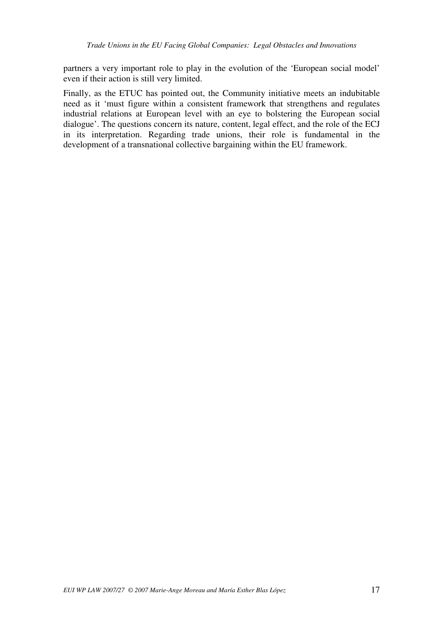partners a very important role to play in the evolution of the 'European social model' even if their action is still very limited.

Finally, as the ETUC has pointed out, the Community initiative meets an indubitable need as it 'must figure within a consistent framework that strengthens and regulates industrial relations at European level with an eye to bolstering the European social dialogue'. The questions concern its nature, content, legal effect, and the role of the ECJ in its interpretation. Regarding trade unions, their role is fundamental in the development of a transnational collective bargaining within the EU framework.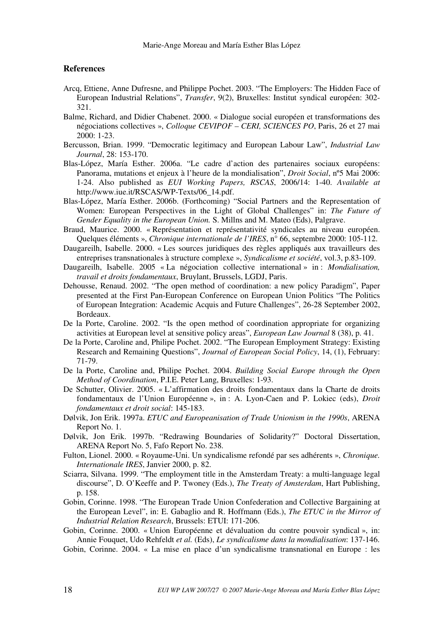#### **References**

- Arcq, Ettiene, Anne Dufresne, and Philippe Pochet. 2003. "The Employers: The Hidden Face of European Industrial Relations", *Transfer*, 9(2), Bruxelles: Institut syndical européen: 302- 321.
- Balme, Richard, and Didier Chabenet. 2000. « Dialogue social européen et transformations des négociations collectives », *Colloque CEVIPOF – CERI, SCIENCES PO*, Paris, 26 et 27 mai  $2000 \cdot 1 - 23$
- Bercusson, Brian. 1999. "Democratic legitimacy and European Labour Law", *Industrial Law Journal*, 28: 153-170.
- Blas-López, María Esther. 2006a. "Le cadre d'action des partenaires sociaux européens: Panorama, mutations et enjeux à l'heure de la mondialisation", *Droit Social*, nº5 Mai 2006: 1-24. Also published as *EUI Working Papers, RSCAS*, 2006/14: 1-40. *Available at*  http://www.iue.it/RSCAS/WP-Texts/06\_14.pdf.
- Blas-López, María Esther. 2006b. (Forthcoming) "Social Partners and the Representation of Women: European Perspectives in the Light of Global Challenges" in: *The Future of Gender Equality in the European Union.* S. Millns and M. Mateo (Eds), Palgrave.
- Braud, Maurice. 2000. « Représentation et représentativité syndicales au niveau européen. Quelques éléments », *Chronique internationale de l'IRES*, n° 66, septembre 2000: 105-112.
- Daugareilh, Isabelle. 2000. « Les sources juridiques des règles appliqués aux travailleurs des entreprises transnationales à structure complexe », *Syndicalisme et société*, vol.3, p.83-109.
- Daugareilh, Isabelle. 2005 « La négociation collective international » in : *Mondialisation, travail et droits fondamentaux*, Bruylant, Brussels, LGDJ, Paris.
- Dehousse, Renaud. 2002. "The open method of coordination: a new policy Paradigm", Paper presented at the First Pan-European Conference on European Union Politics "The Politics of European Integration: Academic Acquis and Future Challenges", 26-28 September 2002, Bordeaux.
- De la Porte, Caroline. 2002. "Is the open method of coordination appropriate for organizing activities at European level at sensitive policy areas", *European Law Journal* 8 (38), p. 41.
- De la Porte, Caroline and, Philipe Pochet. 2002. "The European Employment Strategy: Existing Research and Remaining Questions", *Journal of European Social Policy*, 14, (1), February: 71-79.
- De la Porte, Caroline and, Philipe Pochet. 2004. *Building Social Europe through the Open Method of Coordination*, P.I.E. Peter Lang, Bruxelles: 1-93.
- De Schutter, Olivier. 2005. « L'affirmation des droits fondamentaux dans la Charte de droits fondamentaux de l'Union Européenne », in : A. Lyon-Caen and P. Lokiec (eds), *Droit fondamentaux et droit social*: 145-183.
- Dølvik, Jon Erik. 1997a. *ETUC and Europeanisation of Trade Unionism in the 1990s*, ARENA Report No. 1.
- Dølvik, Jon Erik. 1997b. "Redrawing Boundaries of Solidarity?" Doctoral Dissertation, ARENA Report No. 5, Fafo Report No. 238.
- Fulton, Lionel. 2000. « Royaume-Uni. Un syndicalisme refondé par ses adhérents », *Chronique. Internationale IRES*, Janvier 2000, p. 82.
- Sciarra, Silvana. 1999. "The employment title in the Amsterdam Treaty: a multi-language legal discourse", D. O'Keeffe and P. Twoney (Eds.), *The Treaty of Amsterdam*, Hart Publishing, p. 158.
- Gobin, Corinne. 1998. "The European Trade Union Confederation and Collective Bargaining at the European Level", in: E. Gabaglio and R. Hoffmann (Eds.), *The ETUC in the Mirror of Industrial Relation Research*, Brussels: ETUI: 171-206.
- Gobin, Corinne. 2000. « Union Européenne et dévaluation du contre pouvoir syndical », in: Annie Fouquet, Udo Rehfeldt *et al.* (Eds), *Le syndicalisme dans la mondialisation*: 137-146.
- Gobin, Corinne. 2004. « La mise en place d'un syndicalisme transnational en Europe : les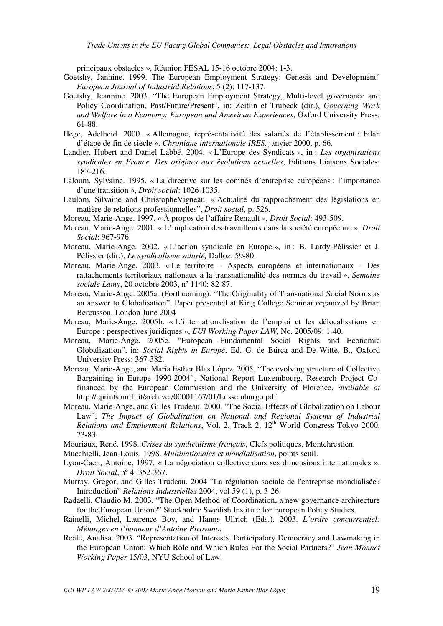principaux obstacles », Réunion FESAL 15-16 octobre 2004: 1-3.

- Goetshy, Jannine. 1999. The European Employment Strategy: Genesis and Development" *European Journal of Industrial Relations*, 5 (2): 117-137.
- Goetshy, Jeannine. 2003. "The European Employment Strategy, Multi-level governance and Policy Coordination, Past/Future/Present", in: Zeitlin et Trubeck (dir.), *Governing Work and Welfare in a Economy: European and American Experiences*, Oxford University Press: 61-88.
- Hege, Adelheid. 2000. « Allemagne, représentativité des salariés de l'établissement : bilan d'étape de fin de siècle », *Chronique internationale IRES,* janvier 2000, p. 66.
- Landier, Hubert and Daniel Labbé. 2004. « L'Europe des Syndicats », in : *Les organisations syndicales en France. Des origines aux évolutions actuelles*, Editions Liaisons Sociales: 187-216.
- Laloum, Sylvaine. 1995. « La directive sur les comités d'entreprise européens : l'importance d'une transition », *Droit social*: 1026-1035.
- Laulom, Silvaine and ChristopheVigneau. « Actualité du rapprochement des législations en matière de relations professionnelles", *Droit social*, p. 526.
- Moreau, Marie-Ange. 1997. « À propos de l'affaire Renault », *Droit Social*: 493-509.
- Moreau, Marie-Ange. 2001. « L'implication des travailleurs dans la société européenne », *Droit Social*: 967-976.
- Moreau, Marie-Ange. 2002. « L'action syndicale en Europe », in : B. Lardy-Pélissier et J. Pélissier (dir.), *Le syndicalisme salarié,* Dalloz: 59-80.
- Moreau, Marie-Ange. 2003. « Le territoire Aspects européens et internationaux Des rattachements territoriaux nationaux à la transnationalité des normes du travail », *Semaine sociale Lamy*, 20 octobre 2003, nº 1140: 82-87.
- Moreau, Marie-Ange. 2005a. (Forthcoming). "The Originality of Transnational Social Norms as an answer to Globalisation", Paper presented at King College Seminar organized by Brian Bercusson, London June 2004
- Moreau, Marie-Ange. 2005b. « L'internationalisation de l'emploi et les délocalisations en Europe : perspectives juridiques », *EUI Working Paper LAW,* No. 2005/09: 1-40.
- Moreau, Marie-Ange. 2005c. "European Fundamental Social Rights and Economic Globalization", in: *Social Rights in Europe*, Ed. G. de Búrca and De Witte, B., Oxford University Press: 367-382.
- Moreau, Marie-Ange, and María Esther Blas López, 2005. "The evolving structure of Collective Bargaining in Europe 1990-2004", National Report Luxembourg, Research Project Cofinanced by the European Commission and the University of Florence, *available at* http://eprints.unifi.it/archive /00001167/01/Lussemburgo.pdf
- Moreau, Marie-Ange, and Gilles Trudeau. 2000. "The Social Effects of Globalization on Labour Law", *The Impact of Globalization on National and Regional Systems of Industrial Relations and Employment Relations*, Vol. 2, Track 2, 12<sup>th</sup> World Congress Tokyo 2000, 73-83.

Mouriaux, René. 1998. *Crises du syndicalisme français*, Clefs politiques, Montchrestien.

Mucchielli, Jean-Louis. 1998. *Multinationales et mondialisation*, points seuil.

- Lyon-Caen, Antoine. 1997. « La négociation collective dans ses dimensions internationales », *Droit Social*, nº 4: 352-367.
- Murray, Gregor, and Gilles Trudeau. 2004 "La régulation sociale de l'entreprise mondialisée? Introduction" *Relations Industrielles* 2004, vol 59 (1), p. 3-26.
- Radaelli, Claudio M. 2003. "The Open Method of Coordination, a new governance architecture for the European Union?" Stockholm: Swedish Institute for European Policy Studies.
- Rainelli, Michel, Laurence Boy, and Hanns Ullrich (Eds.). 2003. *L'ordre concurrentiel: Mélanges en l'honneur d'Antoine Pirovano*.
- Reale, Analisa. 2003. "Representation of Interests, Participatory Democracy and Lawmaking in the European Union: Which Role and Which Rules For the Social Partners?" *Jean Monnet Working Paper* 15/03, NYU School of Law.